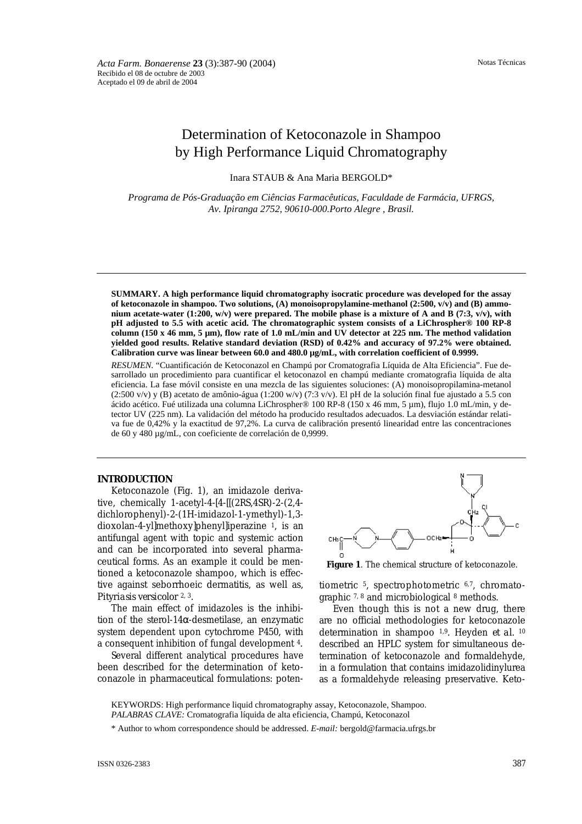# Determination of Ketoconazole in Shampoo by High Performance Liquid Chromatography

Inara STAUB & Ana Maria BERGOLD\*

*Programa de Pós-Graduação em Ciências Farmacêuticas, Faculdade de Farmácia, UFRGS, Av. Ipiranga 2752, 90610-000.Porto Alegre , Brasil.*

**SUMMARY. A high performance liquid chromatography isocratic procedure was developed for the assay of ketoconazole in shampoo. Two solutions, (A) monoisopropylamine-methanol (2:500, v/v) and (B) ammonium acetate-water (1:200, w/v) were prepared. The mobile phase is a mixture of A and B (7:3, v/v), with pH adjusted to 5.5 with acetic acid. The chromatographic system consists of a LiChrospher® 100 RP-8 column (150 x 46 mm, 5 µm), flow rate of 1.0 mL/min and UV detector at 225 nm. The method validation yielded good results. Relative standard deviation (RSD) of 0.42% and accuracy of 97.2% were obtained. Calibration curve was linear between 60.0 and 480.0 µg/mL, with correlation coefficient of 0.9999.**

*RESUMEN.* "Cuantificación de Ketoconazol en Champú por Cromatografia Líquida de Alta Eficiencia". Fue desarrollado un procedimiento para cuantificar el ketoconazol en champú mediante cromatografia líquida de alta eficiencia. La fase móvil consiste en una mezcla de las siguientes soluciones: (A) monoisopropilamina-metanol (2:500 v/v) y (B) acetato de amônio-água (1:200 w/v) (7:3 v/v). El pH de la solución final fue ajustado a 5.5 con ácido acético. Fué utilizada una columna LiChrospher® 100 RP-8 (150 x 46 mm, 5 µm), flujo 1.0 mL/min, y detector UV (225 nm). La validación del método ha producido resultados adecuados. La desviación estándar relativa fue de 0,42% y la exactitud de 97,2%. La curva de calibración presentó linearidad entre las concentraciones de 60 y 480 µg/mL, con coeficiente de correlación de 0,9999.

#### **INTRODUCTION**

Ketoconazole (Fig. 1), an imidazole derivative, chemically 1-acetyl-4-[4-[[(2RS,4SR)-2-(2,4 dichlorophenyl)-2-(1H-imidazol-1-ymethyl)-1,3 dioxolan-4-yl]methoxy]phenyl]iperazine 1, is an antifungal agent with topic and systemic action and can be incorporated into several pharmaceutical forms. As an example it could be mentioned a ketoconazole shampoo, which is effective against seborrhoeic dermatitis, as well as, *Pityriasis versicolor* 2, 3.

The main effect of imidazoles is the inhibition of the sterol-14 $\alpha$ -desmetilase, an enzymatic system dependent upon cytochrome P450, with a consequent inhibition of fungal development 4.

Several different analytical procedures have been described for the determination of ketoconazole in pharmaceutical formulations: poten-



**Figure 1**. The chemical structure of ketoconazole.

tiometric 5, spectrophotometric 6,7, chromatographic 7, 8 and microbiological 8 methods.

Even though this is not a new drug, there are no official methodologies for ketoconazole determination in shampoo 1,9. Heyden *et al.* <sup>10</sup> described an HPLC system for simultaneous determination of ketoconazole and formaldehyde, in a formulation that contains imidazolidinylurea as a formaldehyde releasing preservative. Keto-

KEYWORDS: High performance liquid chromatography assay, Ketoconazole, Shampoo. *PALABRAS CLAVE:* Cromatografia líquida de alta eficiencia, Champú, Ketoconazol

\* Author to whom correspondence should be addressed. *E-mail:* bergold@farmacia.ufrgs.br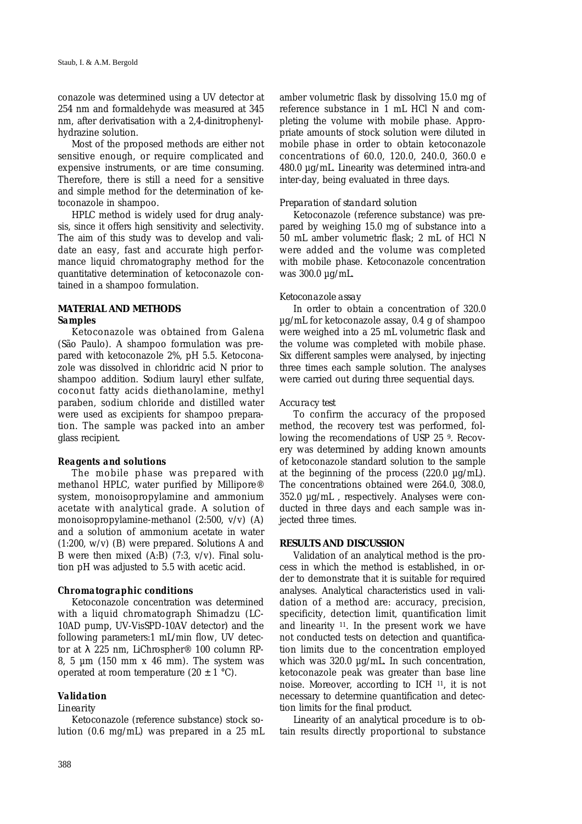conazole was determined using a UV detector at 254 nm and formaldehyde was measured at 345 nm, after derivatisation with a 2,4-dinitrophenylhydrazine solution.

Most of the proposed methods are either not sensitive enough, or require complicated and expensive instruments, or are time consuming. Therefore, there is still a need for a sensitive and simple method for the determination of ketoconazole in shampoo.

HPLC method is widely used for drug analysis, since it offers high sensitivity and selectivity. The aim of this study was to develop and validate an easy, fast and accurate high performance liquid chromatography method for the quantitative determination of ketoconazole contained in a shampoo formulation.

# **MATERIAL AND METHODS** *Samples*

Ketoconazole was obtained from Galena (São Paulo). A shampoo formulation was prepared with ketoconazole 2%, pH 5.5. Ketoconazole was dissolved in chloridric acid N prior to shampoo addition. Sodium lauryl ether sulfate, coconut fatty acids diethanolamine, methyl paraben, sodium chloride and distilled water were used as excipients for shampoo preparation. The sample was packed into an amber glass recipient.

#### *Reagents and solutions*

The mobile phase was prepared with methanol HPLC, water purified by Millipore® system, monoisopropylamine and ammonium acetate with analytical grade. A solution of monoisopropylamine-methanol (2:500, v/v) (A) and a solution of ammonium acetate in water (1:200, w/v) (B) were prepared. Solutions A and B were then mixed  $(A:B)$  (7:3,  $v/v$ ). Final solution pH was adjusted to 5.5 with acetic acid.

#### *Chromatographic conditions*

Ketoconazole concentration was determined with a liquid chromatograph Shimadzu (LC-10AD pump, UV-VisSPD-10AV detector) and the following parameters:1 mL/min flow, UV detector at  $\lambda$  225 nm, LiChrospher® 100 column RP-8, 5  $\mu$ m (150 mm x 46 mm). The system was operated at room temperature  $(20 \pm 1 \degree C)$ .

#### *Validation*

#### *Linearity*

Ketoconazole (reference substance) stock solution (0.6 mg/mL) was prepared in a 25 mL amber volumetric flask by dissolving 15.0 mg of reference substance in 1 mL HCl N and completing the volume with mobile phase. Appropriate amounts of stock solution were diluted in mobile phase in order to obtain ketoconazole concentrations of 60.0, 120.0, 240.0, 360.0 e 480.0 µg/mL. Linearity was determined intra-and inter-day, being evaluated in three days.

#### *Preparation of standard solution*

Ketoconazole (reference substance) was prepared by weighing 15.0 mg of substance into a 50 mL amber volumetric flask; 2 mL of HCl N were added and the volume was completed with mobile phase. Ketoconazole concentration was 300.0 µg/mL.

## *Ketoconazole assay*

In order to obtain a concentration of 320.0 µg/mL for ketoconazole assay, 0.4 g of shampoo were weighed into a 25 mL volumetric flask and the volume was completed with mobile phase. Six different samples were analysed, by injecting three times each sample solution. The analyses were carried out during three sequential days.

#### *Accuracy test*

To confirm the accuracy of the proposed method, the recovery test was performed, following the recomendations of USP 25 9. Recovery was determined by adding known amounts of ketoconazole standard solution to the sample at the beginning of the process  $(220.0 \mu g/mL)$ . The concentrations obtained were 264.0, 308.0, 352.0 µg/mL , respectively. Analyses were conducted in three days and each sample was injected three times.

## **RESULTS AND DISCUSSION**

Validation of an analytical method is the process in which the method is established, in order to demonstrate that it is suitable for required analyses. Analytical characteristics used in validation of a method are: accuracy, precision, specificity, detection limit, quantification limit and linearity 11. In the present work we have not conducted tests on detection and quantification limits due to the concentration employed which was 320.0 µg/mL. In such concentration, ketoconazole peak was greater than base line noise. Moreover, according to ICH 11, it is not necessary to determine quantification and detection limits for the final product.

Linearity of an analytical procedure is to obtain results directly proportional to substance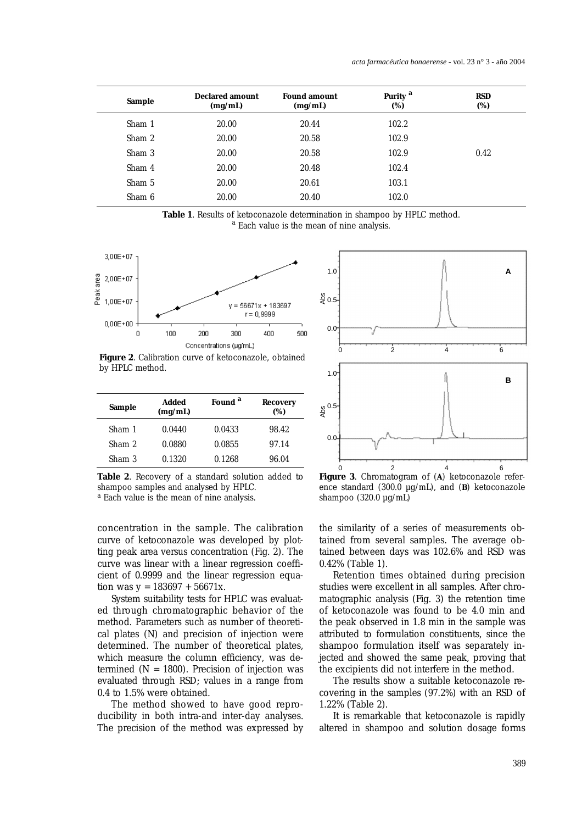| Sample | <b>Declared amount</b><br>(mg/mL) | <b>Found amount</b><br>(mg/mL) | Purity <sup>a</sup><br>(%) | <b>RSD</b><br>(%) |
|--------|-----------------------------------|--------------------------------|----------------------------|-------------------|
| Sham 1 | 20.00                             | 20.44                          | 102.2                      |                   |
| Sham 2 | 20.00                             | 20.58                          | 102.9                      |                   |
| Sham 3 | 20.00                             | 20.58                          | 102.9                      | 0.42              |
| Sham 4 | 20.00                             | 20.48                          | 102.4                      |                   |
| Sham 5 | 20.00                             | 20.61                          | 103.1                      |                   |
| Sham 6 | 20.00                             | 20.40                          | 102.0                      |                   |

**Table 1**. Results of ketoconazole determination in shampoo by HPLC method.<br><sup>a</sup> Each value is the mean of nine analysis.



**Figure 2**. Calibration curve of ketoconazole, obtained by HPLC method.

| Sample | Added<br>(mg/mL) | Found <sup>a</sup> | Recovery<br>(%) |
|--------|------------------|--------------------|-----------------|
| Sham 1 | 0.0440           | 0.0433             | 98.42           |
| Sham 2 | 0.0880           | 0.0855             | 97.14           |
| Sham 3 | 0.1320           | 0.1268             | 96.04           |

**Table 2**. Recovery of a standard solution added to shampoo samples and analysed by HPLC.

<sup>a</sup> Each value is the mean of nine analysis.

concentration in the sample. The calibration curve of ketoconazole was developed by plotting peak area versus concentration (Fig. 2). The curve was linear with a linear regression coefficient of 0.9999 and the linear regression equation was  $y = 183697 + 56671x$ .

System suitability tests for HPLC was evaluated through chromatographic behavior of the method. Parameters such as number of theoretical plates (N) and precision of injection were determined. The number of theoretical plates, which measure the column efficiency, was determined  $(N = 1800)$ . Precision of injection was evaluated through RSD; values in a range from 0.4 to 1.5% were obtained.

The method showed to have good reproducibility in both intra-and inter-day analyses. The precision of the method was expressed by



**Figure 3**. Chromatogram of (**A**) ketoconazole reference standard (300.0 µg/mL), and (**B**) ketoconazole shampoo (320.0 µg/mL)

the similarity of a series of measurements obtained from several samples. The average obtained between days was 102.6% and RSD was 0.42% (Table 1).

Retention times obtained during precision studies were excellent in all samples. After chromatographic analysis (Fig. 3) the retention time of ketoconazole was found to be 4.0 min and the peak observed in 1.8 min in the sample was attributed to formulation constituents, since the shampoo formulation itself was separately injected and showed the same peak, proving that the excipients did not interfere in the method.

The results show a suitable ketoconazole recovering in the samples (97.2%) with an RSD of 1.22% (Table 2).

It is remarkable that ketoconazole is rapidly altered in shampoo and solution dosage forms